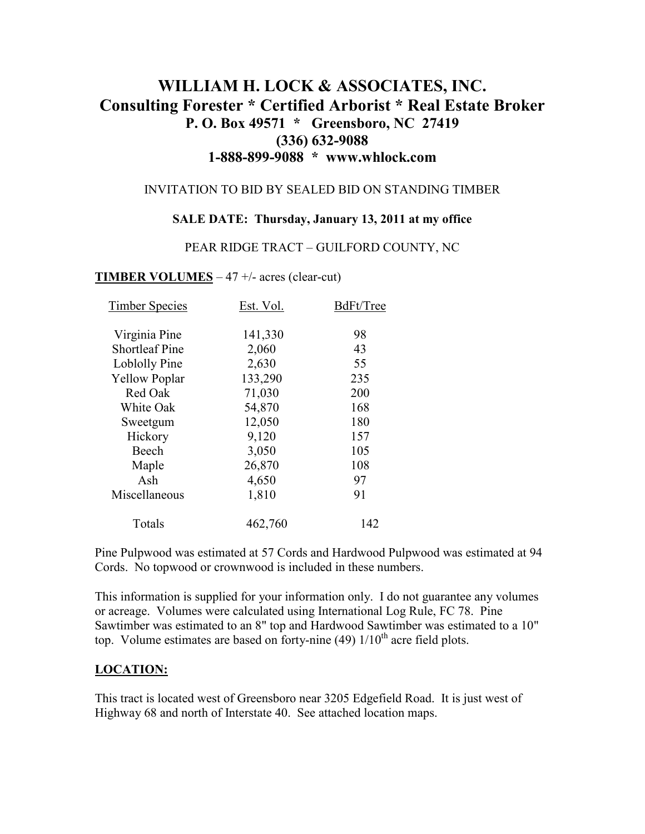# **WILLIAM H. LOCK & ASSOCIATES, INC. Consulting Forester \* Certified Arborist \* Real Estate Broker P. O. Box 49571 \* Greensboro, NC 27419 (336) 632-9088 1-888-899-9088 \* www.whlock.com**

#### INVITATION TO BID BY SEALED BID ON STANDING TIMBER

#### **SALE DATE: Thursday, January 13, 2011 at my office**

#### PEAR RIDGE TRACT – GUILFORD COUNTY, NC

#### **TIMBER VOLUMES** – 47 +/- acres (clear-cut)

| <b>Timber Species</b> | Est. Vol. | BdFt/Tree |
|-----------------------|-----------|-----------|
| Virginia Pine         | 141,330   | 98        |
| <b>Shortleaf Pine</b> | 2,060     | 43        |
| Loblolly Pine         | 2,630     | 55        |
| <b>Yellow Poplar</b>  | 133,290   | 235       |
| Red Oak               | 71,030    | 200       |
| White Oak             | 54,870    | 168       |
| Sweetgum              | 12,050    | 180       |
| Hickory               | 9,120     | 157       |
| Beech                 | 3,050     | 105       |
| Maple                 | 26,870    | 108       |
| Ash                   | 4,650     | 97        |
| Miscellaneous         | 1,810     | 91        |
| Totals                | 462,760   | 142       |

Pine Pulpwood was estimated at 57 Cords and Hardwood Pulpwood was estimated at 94 Cords. No topwood or crownwood is included in these numbers.

This information is supplied for your information only. I do not guarantee any volumes or acreage. Volumes were calculated using International Log Rule, FC 78. Pine Sawtimber was estimated to an 8" top and Hardwood Sawtimber was estimated to a 10" top. Volume estimates are based on forty-nine (49)  $1/10^{th}$  acre field plots.

#### **LOCATION:**

This tract is located west of Greensboro near 3205 Edgefield Road. It is just west of Highway 68 and north of Interstate 40. See attached location maps.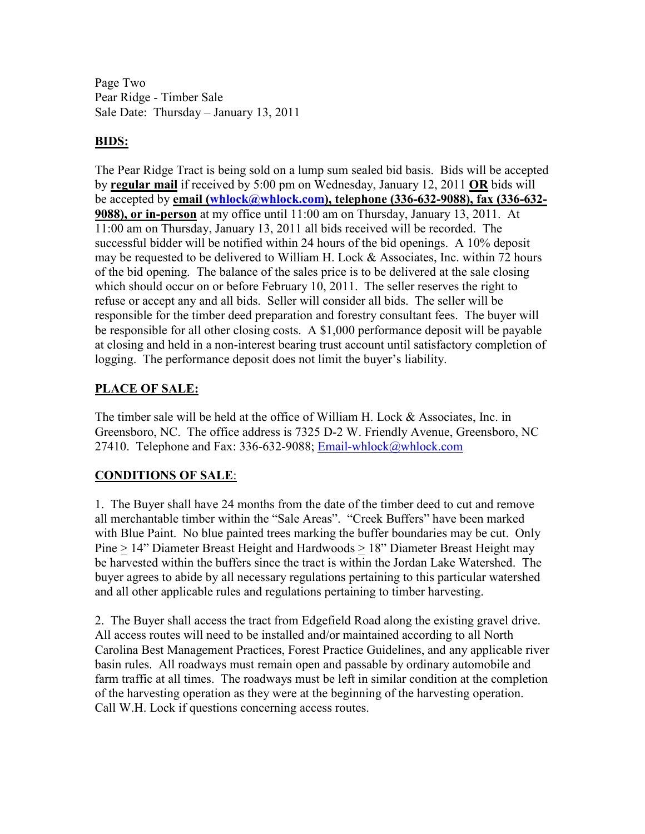Page Two Pear Ridge - Timber Sale Sale Date: Thursday – January 13, 2011

### **BIDS:**

The Pear Ridge Tract is being sold on a lump sum sealed bid basis. Bids will be accepted by **regular mail** if received by 5:00 pm on Wednesday, January 12, 2011 **OR** bids will be accepted by **email (whlock@whlock.com), telephone (336-632-9088), fax (336-632- 9088), or in-person** at my office until 11:00 am on Thursday, January 13, 2011. At 11:00 am on Thursday, January 13, 2011 all bids received will be recorded. The successful bidder will be notified within 24 hours of the bid openings. A 10% deposit may be requested to be delivered to William H. Lock & Associates, Inc. within 72 hours of the bid opening. The balance of the sales price is to be delivered at the sale closing which should occur on or before February 10, 2011. The seller reserves the right to refuse or accept any and all bids. Seller will consider all bids. The seller will be responsible for the timber deed preparation and forestry consultant fees. The buyer will be responsible for all other closing costs. A \$1,000 performance deposit will be payable at closing and held in a non-interest bearing trust account until satisfactory completion of logging. The performance deposit does not limit the buyer's liability.

### **PLACE OF SALE:**

The timber sale will be held at the office of William H. Lock & Associates, Inc. in Greensboro, NC. The office address is 7325 D-2 W. Friendly Avenue, Greensboro, NC 27410. Telephone and Fax: 336-632-9088; Email-whlock@whlock.com

## **CONDITIONS OF SALE**:

1. The Buyer shall have 24 months from the date of the timber deed to cut and remove all merchantable timber within the "Sale Areas". "Creek Buffers" have been marked with Blue Paint. No blue painted trees marking the buffer boundaries may be cut. Only Pine > 14" Diameter Breast Height and Hardwoods > 18" Diameter Breast Height may be harvested within the buffers since the tract is within the Jordan Lake Watershed. The buyer agrees to abide by all necessary regulations pertaining to this particular watershed and all other applicable rules and regulations pertaining to timber harvesting.

2. The Buyer shall access the tract from Edgefield Road along the existing gravel drive. All access routes will need to be installed and/or maintained according to all North Carolina Best Management Practices, Forest Practice Guidelines, and any applicable river basin rules. All roadways must remain open and passable by ordinary automobile and farm traffic at all times. The roadways must be left in similar condition at the completion of the harvesting operation as they were at the beginning of the harvesting operation. Call W.H. Lock if questions concerning access routes.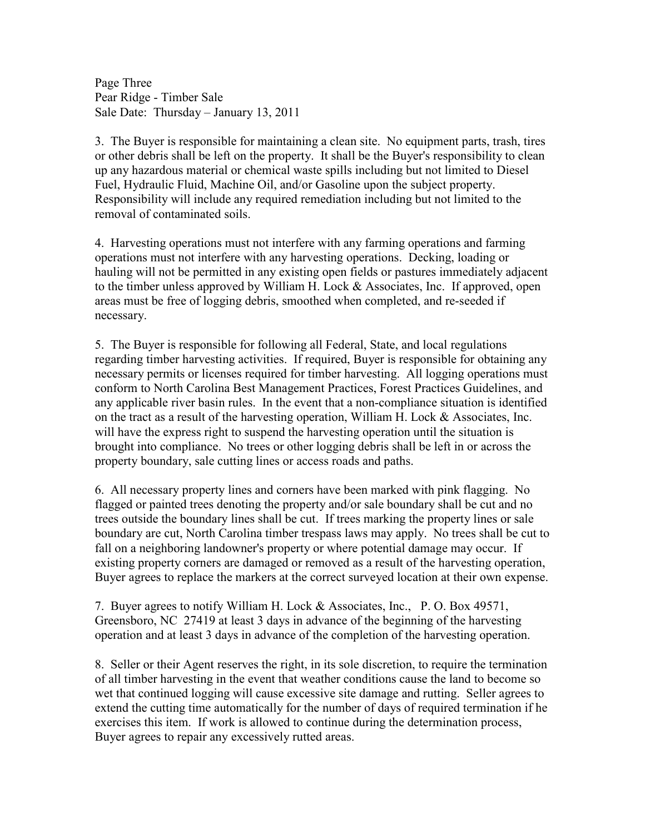Page Three Pear Ridge - Timber Sale Sale Date: Thursday – January 13, 2011

3. The Buyer is responsible for maintaining a clean site. No equipment parts, trash, tires or other debris shall be left on the property. It shall be the Buyer's responsibility to clean up any hazardous material or chemical waste spills including but not limited to Diesel Fuel, Hydraulic Fluid, Machine Oil, and/or Gasoline upon the subject property. Responsibility will include any required remediation including but not limited to the removal of contaminated soils.

4. Harvesting operations must not interfere with any farming operations and farming operations must not interfere with any harvesting operations. Decking, loading or hauling will not be permitted in any existing open fields or pastures immediately adjacent to the timber unless approved by William H. Lock & Associates, Inc. If approved, open areas must be free of logging debris, smoothed when completed, and re-seeded if necessary.

5. The Buyer is responsible for following all Federal, State, and local regulations regarding timber harvesting activities. If required, Buyer is responsible for obtaining any necessary permits or licenses required for timber harvesting. All logging operations must conform to North Carolina Best Management Practices, Forest Practices Guidelines, and any applicable river basin rules. In the event that a non-compliance situation is identified on the tract as a result of the harvesting operation, William H. Lock & Associates, Inc. will have the express right to suspend the harvesting operation until the situation is brought into compliance. No trees or other logging debris shall be left in or across the property boundary, sale cutting lines or access roads and paths.

6. All necessary property lines and corners have been marked with pink flagging. No flagged or painted trees denoting the property and/or sale boundary shall be cut and no trees outside the boundary lines shall be cut. If trees marking the property lines or sale boundary are cut, North Carolina timber trespass laws may apply. No trees shall be cut to fall on a neighboring landowner's property or where potential damage may occur. If existing property corners are damaged or removed as a result of the harvesting operation, Buyer agrees to replace the markers at the correct surveyed location at their own expense.

7. Buyer agrees to notify William H. Lock & Associates, Inc., P. O. Box 49571, Greensboro, NC 27419 at least 3 days in advance of the beginning of the harvesting operation and at least 3 days in advance of the completion of the harvesting operation.

8. Seller or their Agent reserves the right, in its sole discretion, to require the termination of all timber harvesting in the event that weather conditions cause the land to become so wet that continued logging will cause excessive site damage and rutting. Seller agrees to extend the cutting time automatically for the number of days of required termination if he exercises this item. If work is allowed to continue during the determination process, Buyer agrees to repair any excessively rutted areas.